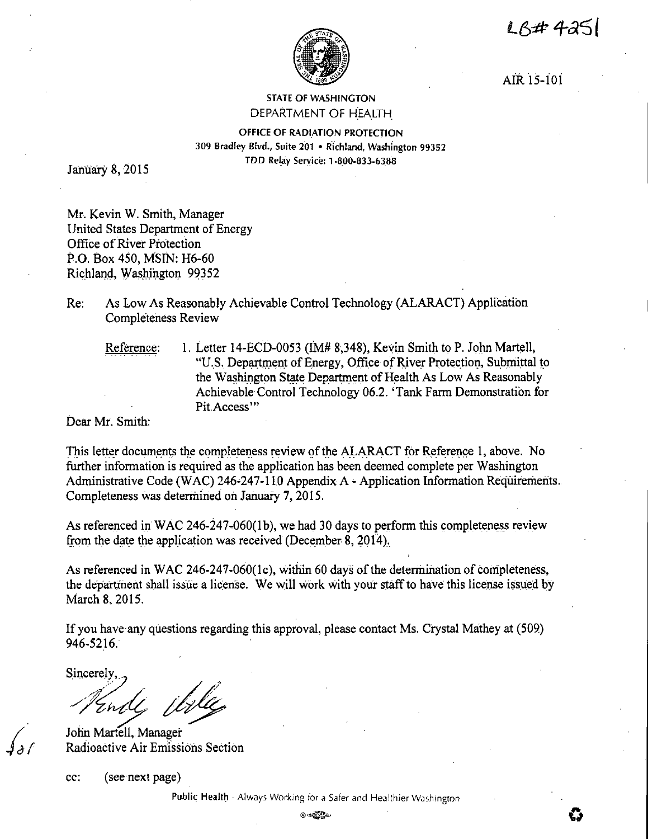LB#4251



AIR 15-l0i

## STATE OF WASHINGTON DEPARTMENT OF HEALTH

OFFICE OF RADIATION PROTECTION 309 Bradley Blvd., Suite 201 • Richland, Washington 99352 TDD Rel\_ay Service: 1-8\_00-833-6388

January 8, 2015

Mr. Kevin W. Smith, Manager United States Department of Energy Office of River Protection P.O. Box 450, **MSIN:** H6-60 Richland, Washington 99352

Re: As Low As Reasonably Achievable Control Technology (ALARACT) Application Completeness Review

Reference: 1. Letter 14-ECD-0053 (IM# 8,348), Kevin Smith to P. John Martell, "U.S. Department of Energy, Office of River Protection, Submittal to the Washington State Department of Health As Low As Reasonably Achievable Control Technology 06.2. 'Tank Farm Demonstration for Pit.Access"'

Dear Mr. Smith:

This letter documents the completeness review of the ALARACT for Reference 1, above. No further information is required as the application has been deemed complete per Washington Administrative Code (WAC) 246-247-110 Appendix A - Application Information Requirements. Completeness was determined on January 7, 2015.

As referenced in WAC 246-247-060(1b), we had 30 days to perform this completeness review from the date the application was received (December 8, 2014).

As referenced in WAC 246-247-060(1c), within 60 days of the determination of completeness, the department shall issue a license. We wiil work with your staff to have this license issµed by March 8, 2015.

If you have-any questions regarding this approval, please contact Ms. Crystal Mathey at (509) 946-5216. ·

sincerely,

John Martell, Manager Radioactive Air Emissions Section

cc: (see next page)